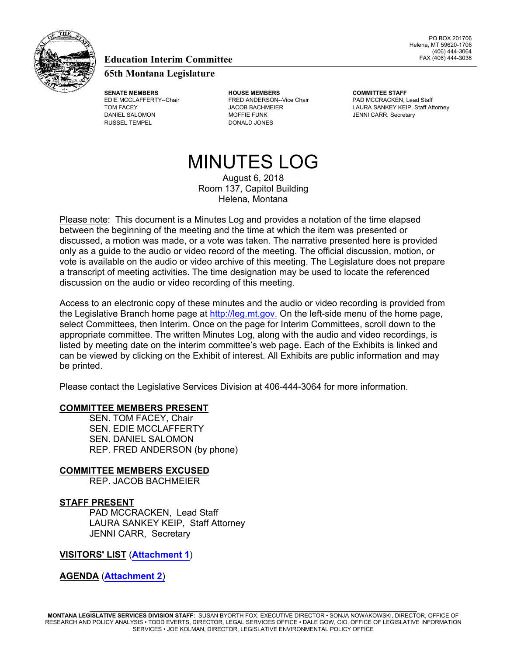

#### **Education Interim Committee**

#### **65th Montana Legislature**

RUSSEL TEMPEL DONALD JONES

**SENATE MEMBERS HOUSE MEMBERS COMMITTEE STAFF** EDIE MCCLAFFERTY--Chair **FRED ANDERSON--Vice Chair** PAD MCCRACKEN, Lead Staff DANIEL SALOMON **MOFFIE FUNK** MOFFIE FUNK JENNI CARR, Secretary

TOM FACEY **EXECUTE:** JACOB BACHMEIER **A COMBACH ATTACHMEIER** LAURA SANKEY KEIP, Staff Attorney

# MINUTES LOG

August 6, 2018 Room 137, Capitol Building Helena, Montana

Please note: This document is a Minutes Log and provides a notation of the time elapsed between the beginning of the meeting and the time at which the item was presented or discussed, a motion was made, or a vote was taken. The narrative presented here is provided only as a guide to the audio or video record of the meeting. The official discussion, motion, or vote is available on the audio or video archive of this meeting. The Legislature does not prepare a transcript of meeting activities. The time designation may be used to locate the referenced discussion on the audio or video recording of this meeting.

Access to an electronic copy of these minutes and the audio or video recording is provided from the Legislative Branch home page at http://leg.mt.gov. On the left-side menu of the home page, select Committees, then Interim. Once on the page for Interim Committees, scroll down to the appropriate committee. The written Minutes Log, along with the audio and video recordings, is listed by meeting date on the interim committee's web page. Each of the Exhibits is linked and can be viewed by clicking on the Exhibit of interest. All Exhibits are public information and may be printed.

Please contact the Legislative Services Division at 406-444-3064 for more information.

#### **COMMITTEE MEMBERS PRESENT**

SEN. TOM FACEY, Chair SEN. EDIE MCCLAFFERTY SEN. DANIEL SALOMON REP. FRED ANDERSON (by phone)

**COMMITTEE MEMBERS EXCUSED**

REP. JACOB BACHMEIER

#### **STAFF PRESENT**

PAD MCCRACKEN, Lead Staff LAURA SANKEY KEIP, Staff Attorney JENNI CARR, Secretary

**VISITORS' LIST** (**[Attachment 1](http://leg.mt.gov/content/Committees/Interim/2017-2018/Education/Committee-Topics/Financial-Aid/EDICsub-Aug6-2018-At1.pdf)**)

#### **AGENDA** (**[Attachment 2](http://leg.mt.gov/content/Committees/Interim/2017-2018/Education/Committee-Topics/Financial-Aid/Subcommittee August draft agenda.pdf)**)

**MONTANA LEGISLATIVE SERVICES DIVISION STAFF:** SUSAN BYORTH FOX, EXECUTIVE DIRECTOR • SONJA NOWAKOWSKI, DIRECTOR, OFFICE OF RESEARCH AND POLICY ANALYSIS • TODD EVERTS, DIRECTOR, LEGAL SERVICES OFFICE • DALE GOW, CIO, OFFICE OF LEGISLATIVE INFORMATION SERVICES • JOE KOLMAN, DIRECTOR, LEGISLATIVE ENVIRONMENTAL POLICY OFFICE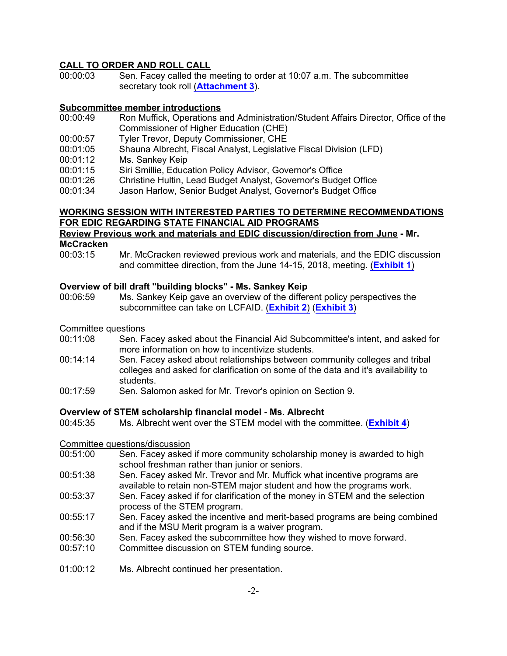#### **CALL TO ORDER AND ROLL CALL**

00:00:03 Sen. Facey called the meeting to order at 10:07 a.m. The subcommittee secretary took roll (**[Attachment 3](http://leg.mt.gov/content/Committees/Interim/2017-2018/Education/Committee-Topics/Financial-Aid/EDICsub-Aug6-2018-At3.pdf)**).

#### **Subcommittee member introductions**

- 00:00:49 Ron Muffick, Operations and Administration/Student Affairs Director, Office of the Commissioner of Higher Education (CHE)
- 00:00:57 Tyler Trevor, Deputy Commissioner, CHE
- 00:01:05 Shauna Albrecht, Fiscal Analyst, Legislative Fiscal Division (LFD)
- 00:01:12 Ms. Sankey Keip
- 00:01:15 Siri Smillie, Education Policy Advisor, Governor's Office
- 00:01:26 Christine Hultin, Lead Budget Analyst, Governor's Budget Office
- 00:01:34 Jason Harlow, Senior Budget Analyst, Governor's Budget Office

#### **WORKING SESSION WITH INTERESTED PARTIES TO DETERMINE RECOMMENDATIONS FOR EDIC REGARDING STATE FINANCIAL AID PROGRAMS**

#### **Review Previous work and materials and EDIC discussion/direction from June - Mr. McCracken**

00:03:15 Mr. McCracken reviewed previous work and materials, and the EDIC discussion and committee direction, from the June 14-15, 2018, meeting. (**[Exhibit 1](http://leg.mt.gov/content/Committees/Interim/2017-2018/Education/Committee-Topics/Financial-Aid/EDICsub-Aug6-2018-Ex1.pdf)**)

### **Overview of bill draft "building blocks" - Ms. Sankey Keip**

Ms. Sankey Keip gave an overview of the different policy perspectives the subcommittee can take on LCFAID. (**[Exhibit 2](http://leg.mt.gov/content/Committees/Interim/2017-2018/Education/Committee-Topics/Financial-Aid/LCFAID Building Blocks.pdf)**) (**[Exhibit 3](http://leg.mt.gov/content/Committees/Interim/2017-2018/Education/Committee-Topics/Financial-Aid/LCFAID Bill Draft.pdf)**)

#### Committee questions

- 00:11:08 Sen. Facey asked about the Financial Aid Subcommittee's intent, and asked for more information on how to incentivize students.
- 00:14:14 Sen. Facey asked about relationships between community colleges and tribal colleges and asked for clarification on some of the data and it's availability to students.
- 00:17:59 Sen. Salomon asked for Mr. Trevor's opinion on Section 9.

#### **Overview of STEM scholarship financial model - Ms. Albrecht**

00:45:35 Ms. Albrecht went over the STEM model with the committee. (**[Exhibit 4](http://leg.mt.gov/content/Committees/Interim/2017-2018/Education/Committee-Topics/Financial-Aid/STEM Modeling.pdf)**)

#### Committee questions/discussion

- 00:51:00 Sen. Facey asked if more community scholarship money is awarded to high school freshman rather than junior or seniors.
- 00:51:38 Sen. Facey asked Mr. Trevor and Mr. Muffick what incentive programs are available to retain non-STEM major student and how the programs work.
- 00:53:37 Sen. Facey asked if for clarification of the money in STEM and the selection process of the STEM program.
- 00:55:17 Sen. Facey asked the incentive and merit-based programs are being combined and if the MSU Merit program is a waiver program.
- 00:56:30 Sen. Facey asked the subcommittee how they wished to move forward.
- 00:57:10 Committee discussion on STEM funding source.
- 01:00:12 Ms. Albrecht continued her presentation.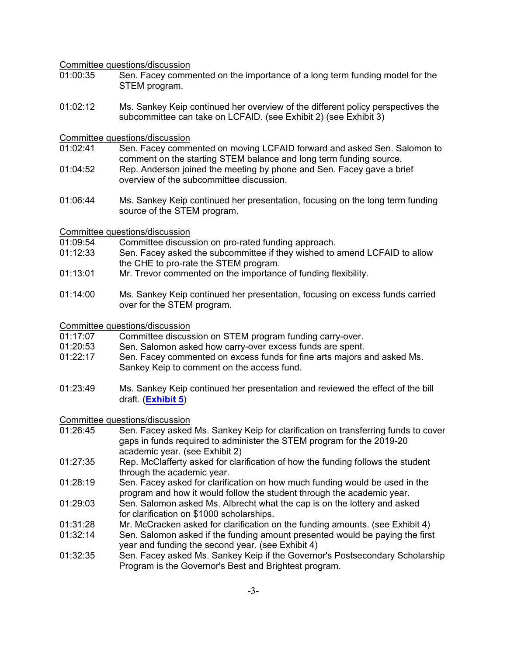#### Committee questions/discussion

- 01:00:35 Sen. Facey commented on the importance of a long term funding model for the STEM program.
- 01:02:12 Ms. Sankey Keip continued her overview of the different policy perspectives the subcommittee can take on LCFAID. (see Exhibit 2) (see Exhibit 3)

#### Committee questions/discussion

- 01:02:41 Sen. Facey commented on moving LCFAID forward and asked Sen. Salomon to comment on the starting STEM balance and long term funding source.
- 01:04:52 Rep. Anderson joined the meeting by phone and Sen. Facey gave a brief overview of the subcommittee discussion.
- 01:06:44 Ms. Sankey Keip continued her presentation, focusing on the long term funding source of the STEM program.

## Committee questions/discussion<br>01:09:54 Committee discus

Committee discussion on pro-rated funding approach.

- 01:12:33 Sen. Facey asked the subcommittee if they wished to amend LCFAID to allow the CHE to pro-rate the STEM program.
- 01:13:01 Mr. Trevor commented on the importance of funding flexibility.
- 01:14:00 Ms. Sankey Keip continued her presentation, focusing on excess funds carried over for the STEM program.

#### Committee questions/discussion

- 01:17:07 Committee discussion on STEM program funding carry-over.
- 01:20:53 Sen. Salomon asked how carry-over excess funds are spent.
- 01:22:17 Sen. Facey commented on excess funds for fine arts majors and asked Ms. Sankey Keip to comment on the access fund.
- 01:23:49 Ms. Sankey Keip continued her presentation and reviewed the effect of the bill draft. (**[Exhibit 5](http://leg.mt.gov/content/Committees/Interim/2017-2018/Education/Committee-Topics/Financial-Aid/EDICsub-Aug6-2018-Ex5.pdf)**)

### Committee questions/discussion

- Sen. Facey asked Ms. Sankey Keip for clarification on transferring funds to cover gaps in funds required to administer the STEM program for the 2019-20 academic year. (see Exhibit 2)
- 01:27:35 Rep. McClafferty asked for clarification of how the funding follows the student through the academic year.
- 01:28:19 Sen. Facey asked for clarification on how much funding would be used in the program and how it would follow the student through the academic year.
- 01:29:03 Sen. Salomon asked Ms. Albrecht what the cap is on the lottery and asked for clarification on \$1000 scholarships.
- 01:31:28 Mr. McCracken asked for clarification on the funding amounts. (see Exhibit 4)
- 01:32:14 Sen. Salomon asked if the funding amount presented would be paying the first year and funding the second year. (see Exhibit 4)
- 01:32:35 Sen. Facey asked Ms. Sankey Keip if the Governor's Postsecondary Scholarship Program is the Governor's Best and Brightest program.